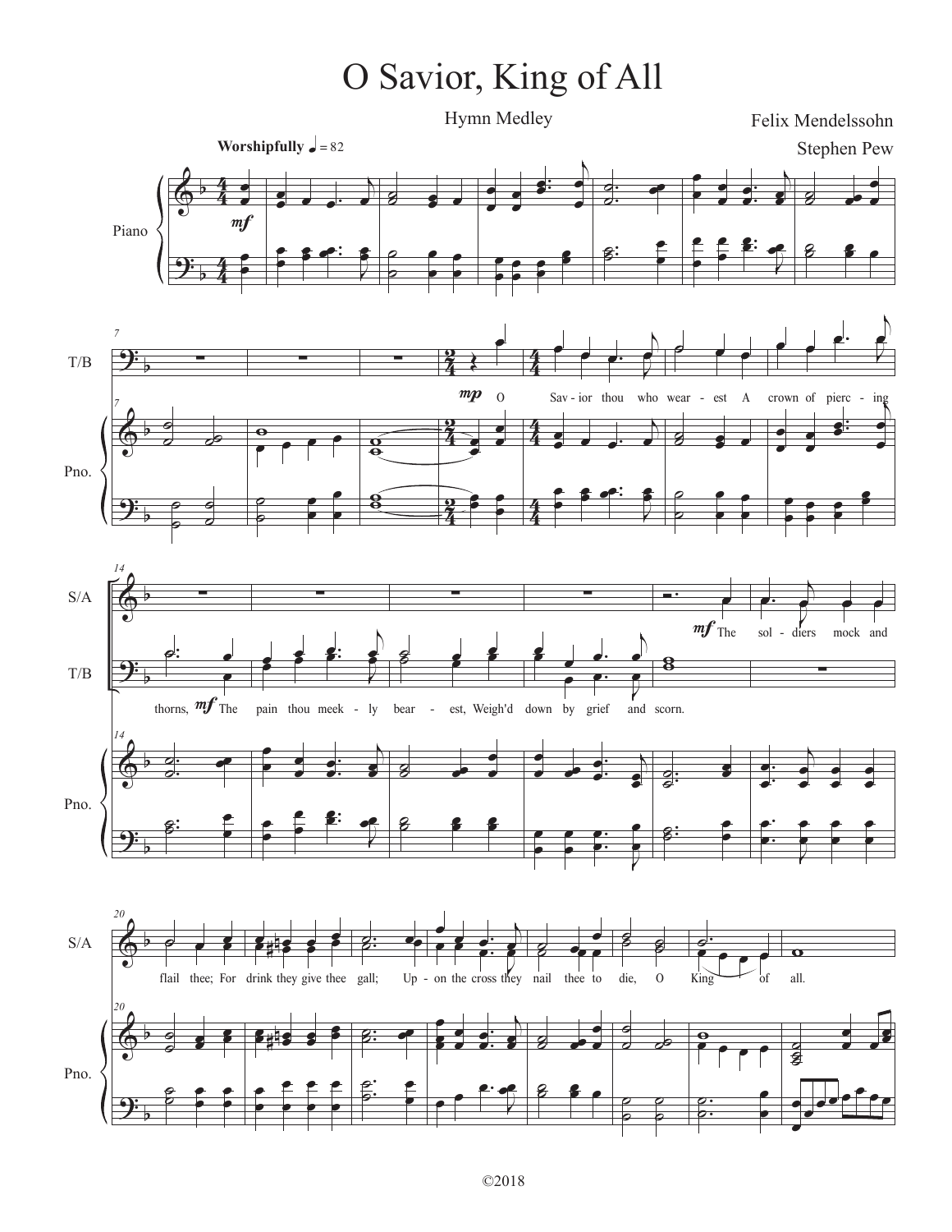## O Savior, King of All

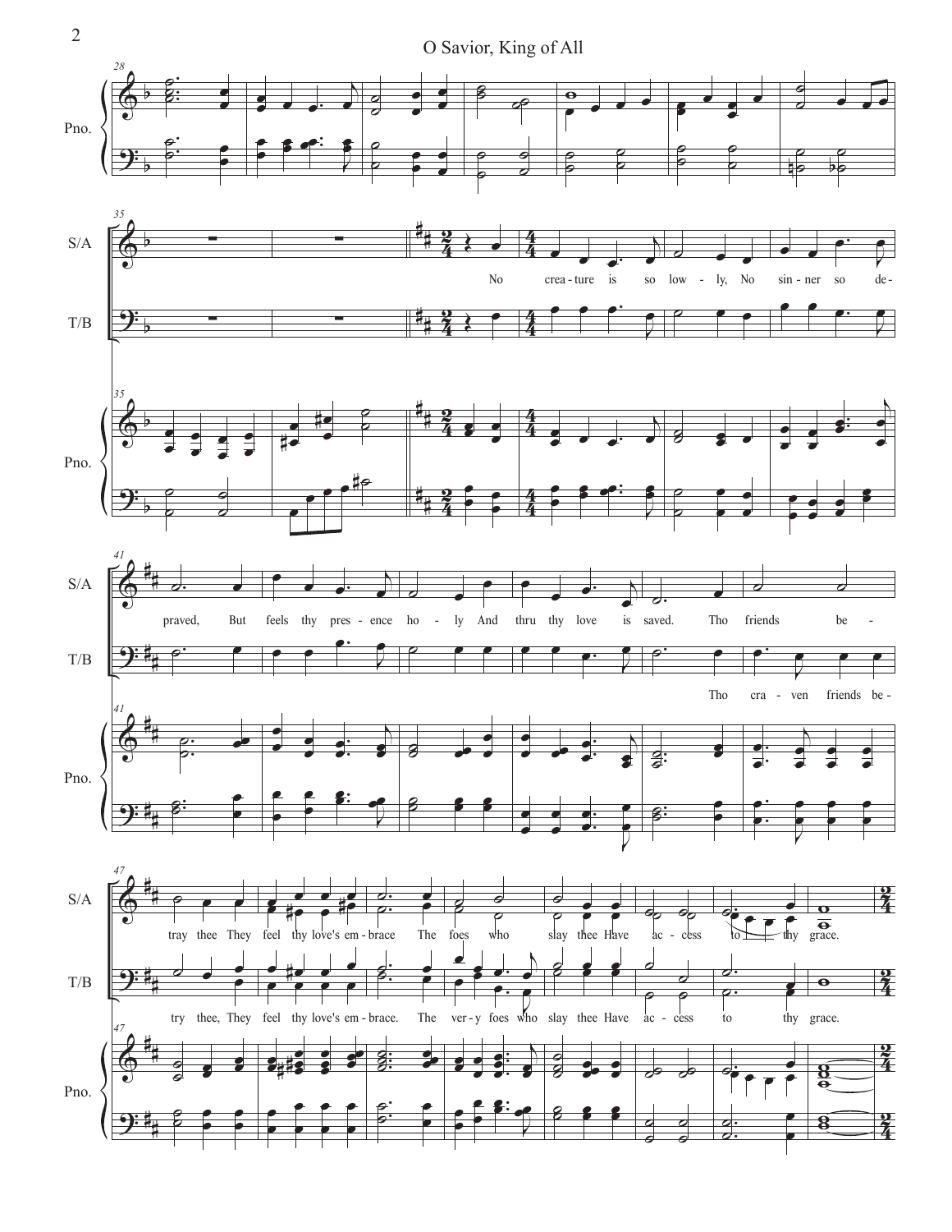<sup>2</sup> O Savior, King of All

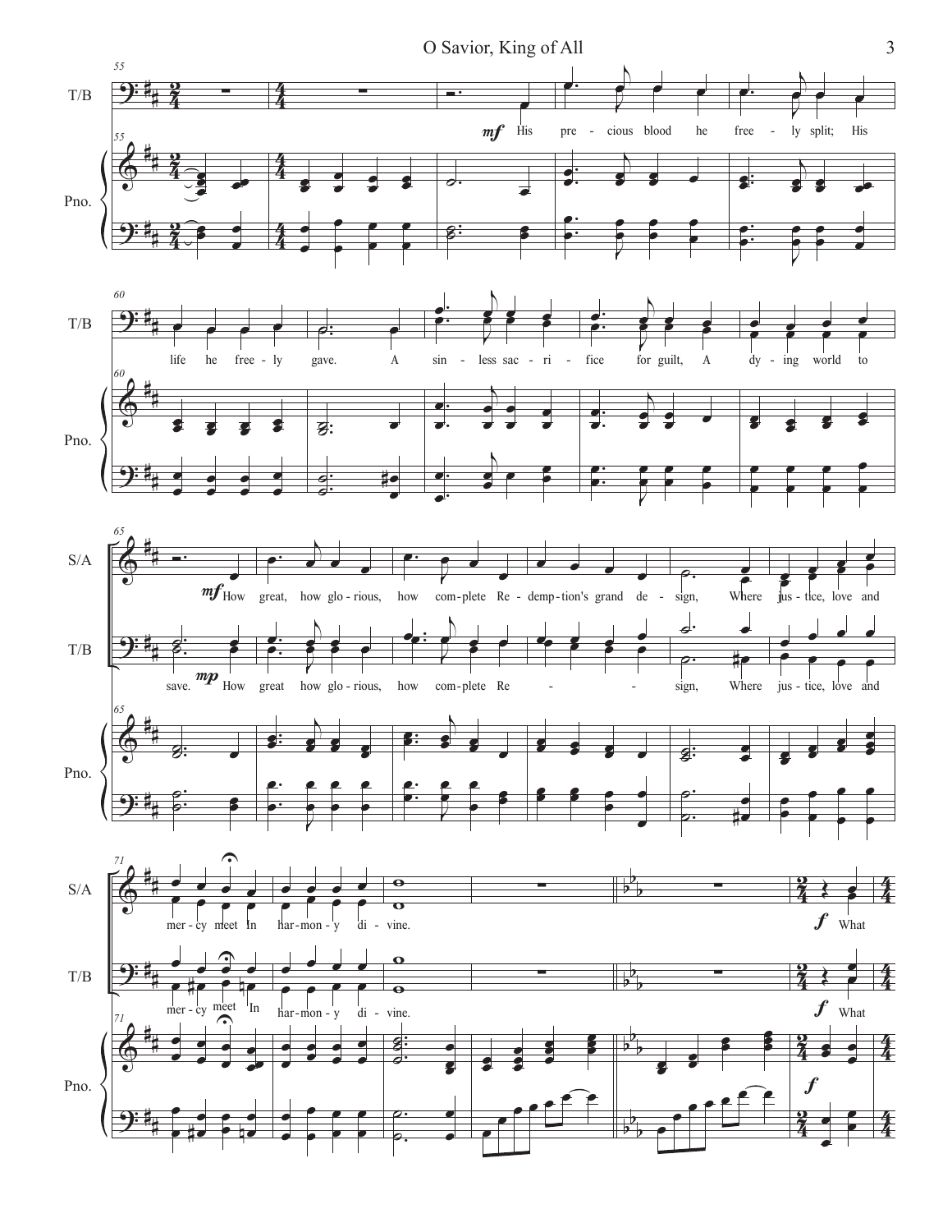